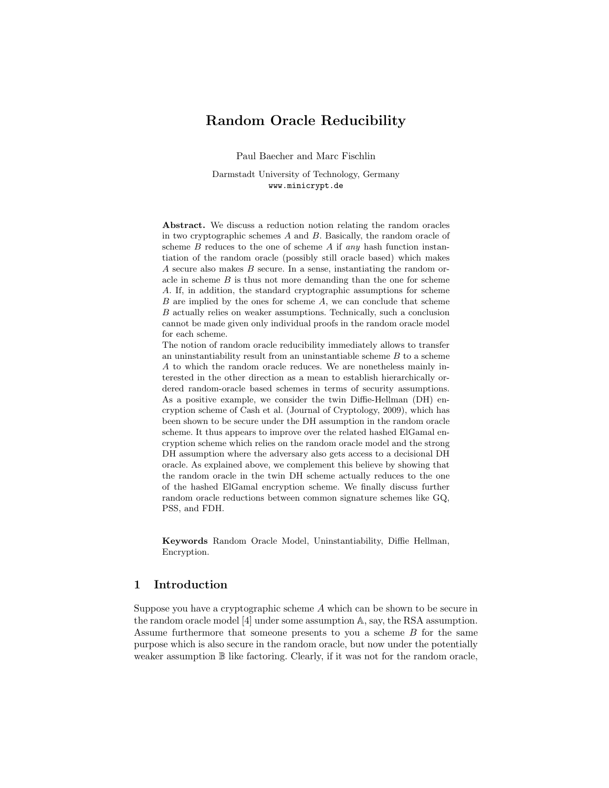# Random Oracle Reducibility

Paul Baecher and Marc Fischlin

Darmstadt University of Technology, Germany www.minicrypt.de

Abstract. We discuss a reduction notion relating the random oracles in two cryptographic schemes  $A$  and  $B$ . Basically, the random oracle of scheme  $B$  reduces to the one of scheme  $A$  if any hash function instantiation of the random oracle (possibly still oracle based) which makes A secure also makes B secure. In a sense, instantiating the random oracle in scheme  $B$  is thus not more demanding than the one for scheme A. If, in addition, the standard cryptographic assumptions for scheme  $B$  are implied by the ones for scheme  $A$ , we can conclude that scheme B actually relies on weaker assumptions. Technically, such a conclusion cannot be made given only individual proofs in the random oracle model for each scheme.

The notion of random oracle reducibility immediately allows to transfer an uninstantiability result from an uninstantiable scheme  $B$  to a scheme A to which the random oracle reduces. We are nonetheless mainly interested in the other direction as a mean to establish hierarchically ordered random-oracle based schemes in terms of security assumptions. As a positive example, we consider the twin Diffie-Hellman (DH) encryption scheme of Cash et al. (Journal of Cryptology, 2009), which has been shown to be secure under the DH assumption in the random oracle scheme. It thus appears to improve over the related hashed ElGamal encryption scheme which relies on the random oracle model and the strong DH assumption where the adversary also gets access to a decisional DH oracle. As explained above, we complement this believe by showing that the random oracle in the twin DH scheme actually reduces to the one of the hashed ElGamal encryption scheme. We finally discuss further random oracle reductions between common signature schemes like GQ, PSS, and FDH.

Keywords Random Oracle Model, Uninstantiability, Diffie Hellman, Encryption.

## 1 Introduction

Suppose you have a cryptographic scheme A which can be shown to be secure in the random oracle model [4] under some assumption A, say, the RSA assumption. Assume furthermore that someone presents to you a scheme B for the same purpose which is also secure in the random oracle, but now under the potentially weaker assumption  $\mathbb B$  like factoring. Clearly, if it was not for the random oracle,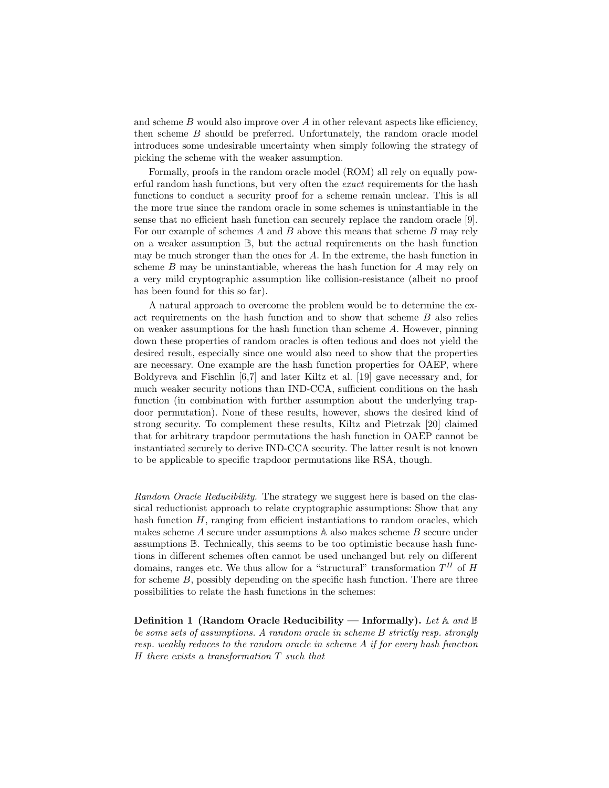and scheme  $B$  would also improve over  $A$  in other relevant aspects like efficiency, then scheme B should be preferred. Unfortunately, the random oracle model introduces some undesirable uncertainty when simply following the strategy of picking the scheme with the weaker assumption.

Formally, proofs in the random oracle model (ROM) all rely on equally powerful random hash functions, but very often the exact requirements for the hash functions to conduct a security proof for a scheme remain unclear. This is all the more true since the random oracle in some schemes is uninstantiable in the sense that no efficient hash function can securely replace the random oracle [9]. For our example of schemes  $A$  and  $B$  above this means that scheme  $B$  may rely on a weaker assumption B, but the actual requirements on the hash function may be much stronger than the ones for  $A$ . In the extreme, the hash function in scheme  $B$  may be uninstantiable, whereas the hash function for  $A$  may rely on a very mild cryptographic assumption like collision-resistance (albeit no proof has been found for this so far).

A natural approach to overcome the problem would be to determine the exact requirements on the hash function and to show that scheme  $B$  also relies on weaker assumptions for the hash function than scheme A. However, pinning down these properties of random oracles is often tedious and does not yield the desired result, especially since one would also need to show that the properties are necessary. One example are the hash function properties for OAEP, where Boldyreva and Fischlin [6,7] and later Kiltz et al. [19] gave necessary and, for much weaker security notions than IND-CCA, sufficient conditions on the hash function (in combination with further assumption about the underlying trapdoor permutation). None of these results, however, shows the desired kind of strong security. To complement these results, Kiltz and Pietrzak [20] claimed that for arbitrary trapdoor permutations the hash function in OAEP cannot be instantiated securely to derive IND-CCA security. The latter result is not known to be applicable to specific trapdoor permutations like RSA, though.

Random Oracle Reducibility. The strategy we suggest here is based on the classical reductionist approach to relate cryptographic assumptions: Show that any hash function  $H$ , ranging from efficient instantiations to random oracles, which makes scheme A secure under assumptions A also makes scheme B secure under assumptions B. Technically, this seems to be too optimistic because hash functions in different schemes often cannot be used unchanged but rely on different domains, ranges etc. We thus allow for a "structural" transformation  $T^H$  of H for scheme B, possibly depending on the specific hash function. There are three possibilities to relate the hash functions in the schemes:

Definition 1 (Random Oracle Reducibility — Informally). Let A and  $\mathbb B$ be some sets of assumptions. A random oracle in scheme B strictly resp. strongly resp. weakly reduces to the random oracle in scheme A if for every hash function  $H$  there exists a transformation  $T$  such that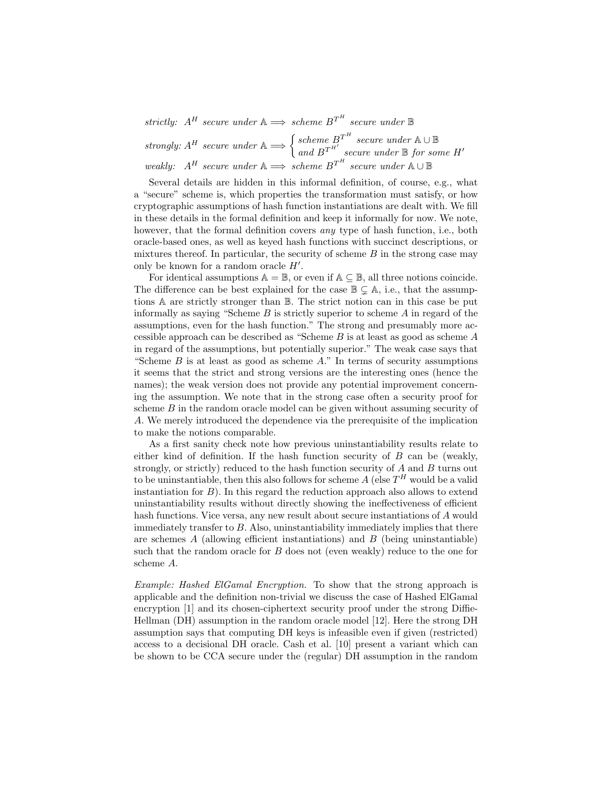strictly:  $A^H$  secure under  $A \Longrightarrow$  scheme  $B^{T^H}$  secure under  $\mathbb B$ strongly:  $A^H$  secure under  $A \Longrightarrow \begin{cases} \text{scheme } B^{T^H} & \text{secure under } A \cup \mathbb{B} \\ 1, B^{T^H} & \text{vertex in } B \end{cases}$ and  $B^{T^{H'}}$  secure under  $\mathbb B$  for some  $H'$ weakly:  $A^H$  secure under  $A \Longrightarrow$  scheme  $B^{T^H}$  secure under  $A \cup B$ 

Several details are hidden in this informal definition, of course, e.g., what a "secure" scheme is, which properties the transformation must satisfy, or how cryptographic assumptions of hash function instantiations are dealt with. We fill in these details in the formal definition and keep it informally for now. We note, however, that the formal definition covers *any* type of hash function, i.e., both oracle-based ones, as well as keyed hash functions with succinct descriptions, or mixtures thereof. In particular, the security of scheme  $B$  in the strong case may only be known for a random oracle  $H'$ .

For identical assumptions  $A = \mathbb{B}$ , or even if  $A \subseteq \mathbb{B}$ , all three notions coincide. The difference can be best explained for the case  $\mathbb{B} \subsetneq \mathbb{A}$ , i.e., that the assumptions A are strictly stronger than B. The strict notion can in this case be put informally as saying "Scheme  $B$  is strictly superior to scheme  $A$  in regard of the assumptions, even for the hash function." The strong and presumably more accessible approach can be described as "Scheme  $B$  is at least as good as scheme  $A$ in regard of the assumptions, but potentially superior." The weak case says that "Scheme  $B$  is at least as good as scheme  $A$ ." In terms of security assumptions it seems that the strict and strong versions are the interesting ones (hence the names); the weak version does not provide any potential improvement concerning the assumption. We note that in the strong case often a security proof for scheme B in the random oracle model can be given without assuming security of A. We merely introduced the dependence via the prerequisite of the implication to make the notions comparable.

As a first sanity check note how previous uninstantiability results relate to either kind of definition. If the hash function security of  $B$  can be (weakly, strongly, or strictly) reduced to the hash function security of A and B turns out to be uninstantiable, then this also follows for scheme  $A$  (else  $T^H$  would be a valid instantiation for  $B$ ). In this regard the reduction approach also allows to extend uninstantiability results without directly showing the ineffectiveness of efficient hash functions. Vice versa, any new result about secure instantiations of A would immediately transfer to B. Also, uninstantiability immediately implies that there are schemes  $A$  (allowing efficient instantiations) and  $B$  (being uninstantiable) such that the random oracle for  $B$  does not (even weakly) reduce to the one for scheme A.

Example: Hashed ElGamal Encryption. To show that the strong approach is applicable and the definition non-trivial we discuss the case of Hashed ElGamal encryption [1] and its chosen-ciphertext security proof under the strong Diffie-Hellman (DH) assumption in the random oracle model [12]. Here the strong DH assumption says that computing DH keys is infeasible even if given (restricted) access to a decisional DH oracle. Cash et al. [10] present a variant which can be shown to be CCA secure under the (regular) DH assumption in the random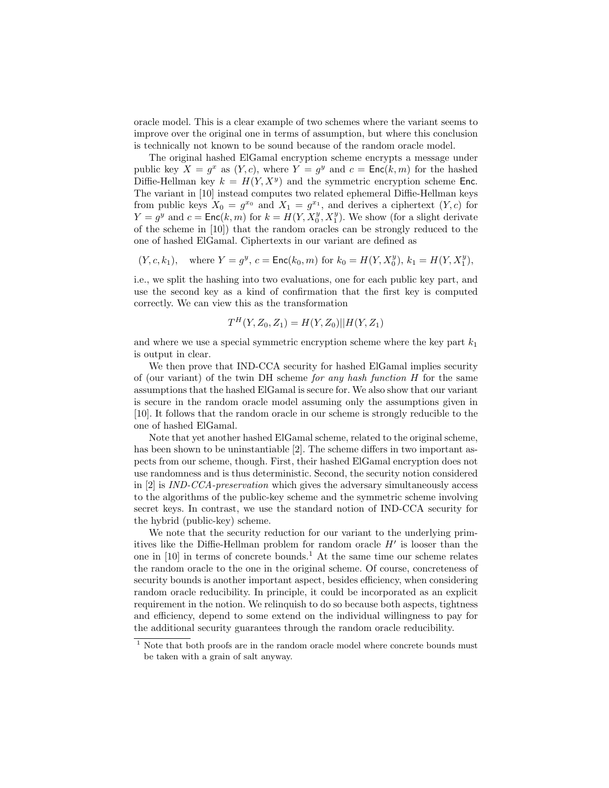oracle model. This is a clear example of two schemes where the variant seems to improve over the original one in terms of assumption, but where this conclusion is technically not known to be sound because of the random oracle model.

The original hashed ElGamal encryption scheme encrypts a message under public key  $X = g^x$  as  $(Y, c)$ , where  $Y = g^y$  and  $c = \text{Enc}(k, m)$  for the hashed Diffie-Hellman key  $k = H(Y, X^y)$  and the symmetric encryption scheme Enc. The variant in [10] instead computes two related ephemeral Diffie-Hellman keys from public keys  $X_0 = g^{x_0}$  and  $X_1 = g^{x_1}$ , and derives a ciphertext  $(Y, c)$  for  $Y = g^y$  and  $c = \text{Enc}(k, m)$  for  $k = H(Y, X_0^y, X_1^y)$ . We show (for a slight derivate of the scheme in [10]) that the random oracles can be strongly reduced to the one of hashed ElGamal. Ciphertexts in our variant are defined as

$$
(Y, c, k_1)
$$
, where  $Y = g^y$ ,  $c = \text{Enc}(k_0, m)$  for  $k_0 = H(Y, X_0^y)$ ,  $k_1 = H(Y, X_1^y)$ ,

i.e., we split the hashing into two evaluations, one for each public key part, and use the second key as a kind of confirmation that the first key is computed correctly. We can view this as the transformation

$$
T^H(Y, Z_0, Z_1) = H(Y, Z_0)||H(Y, Z_1)
$$

and where we use a special symmetric encryption scheme where the key part  $k_1$ is output in clear.

We then prove that IND-CCA security for hashed ElGamal implies security of (our variant) of the twin DH scheme for any hash function  $H$  for the same assumptions that the hashed ElGamal is secure for. We also show that our variant is secure in the random oracle model assuming only the assumptions given in [10]. It follows that the random oracle in our scheme is strongly reducible to the one of hashed ElGamal.

Note that yet another hashed ElGamal scheme, related to the original scheme, has been shown to be uninstantiable [2]. The scheme differs in two important aspects from our scheme, though. First, their hashed ElGamal encryption does not use randomness and is thus deterministic. Second, the security notion considered in [2] is IND-CCA-preservation which gives the adversary simultaneously access to the algorithms of the public-key scheme and the symmetric scheme involving secret keys. In contrast, we use the standard notion of IND-CCA security for the hybrid (public-key) scheme.

We note that the security reduction for our variant to the underlying primitives like the Diffie-Hellman problem for random oracle  $H'$  is looser than the one in  $[10]$  in terms of concrete bounds.<sup>1</sup> At the same time our scheme relates the random oracle to the one in the original scheme. Of course, concreteness of security bounds is another important aspect, besides efficiency, when considering random oracle reducibility. In principle, it could be incorporated as an explicit requirement in the notion. We relinquish to do so because both aspects, tightness and efficiency, depend to some extend on the individual willingness to pay for the additional security guarantees through the random oracle reducibility.

 $1$  Note that both proofs are in the random oracle model where concrete bounds must be taken with a grain of salt anyway.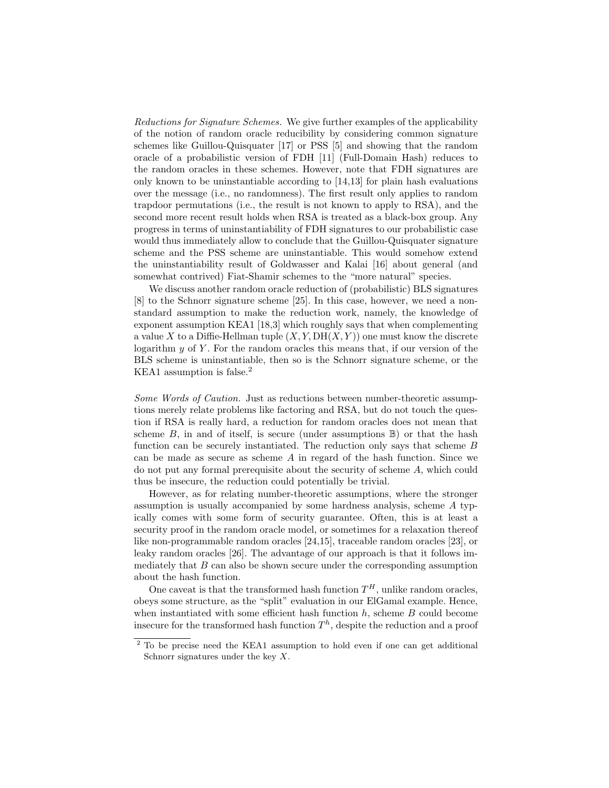Reductions for Signature Schemes. We give further examples of the applicability of the notion of random oracle reducibility by considering common signature schemes like Guillou-Quisquater [17] or PSS [5] and showing that the random oracle of a probabilistic version of FDH [11] (Full-Domain Hash) reduces to the random oracles in these schemes. However, note that FDH signatures are only known to be uninstantiable according to [14,13] for plain hash evaluations over the message (i.e., no randomness). The first result only applies to random trapdoor permutations (i.e., the result is not known to apply to RSA), and the second more recent result holds when RSA is treated as a black-box group. Any progress in terms of uninstantiability of FDH signatures to our probabilistic case would thus immediately allow to conclude that the Guillou-Quisquater signature scheme and the PSS scheme are uninstantiable. This would somehow extend the uninstantiability result of Goldwasser and Kalai [16] about general (and somewhat contrived) Fiat-Shamir schemes to the "more natural" species.

We discuss another random oracle reduction of (probabilistic) BLS signatures [8] to the Schnorr signature scheme [25]. In this case, however, we need a nonstandard assumption to make the reduction work, namely, the knowledge of exponent assumption KEA1 [18,3] which roughly says that when complementing a value X to a Diffie-Hellman tuple  $(X, Y, DH(X, Y))$  one must know the discrete logarithm  $y$  of  $Y$ . For the random oracles this means that, if our version of the BLS scheme is uninstantiable, then so is the Schnorr signature scheme, or the KEA1 assumption is false.<sup>2</sup>

Some Words of Caution. Just as reductions between number-theoretic assumptions merely relate problems like factoring and RSA, but do not touch the question if RSA is really hard, a reduction for random oracles does not mean that scheme  $B$ , in and of itself, is secure (under assumptions  $\mathbb{B}$ ) or that the hash function can be securely instantiated. The reduction only says that scheme B can be made as secure as scheme  $A$  in regard of the hash function. Since we do not put any formal prerequisite about the security of scheme A, which could thus be insecure, the reduction could potentially be trivial.

However, as for relating number-theoretic assumptions, where the stronger assumption is usually accompanied by some hardness analysis, scheme A typically comes with some form of security guarantee. Often, this is at least a security proof in the random oracle model, or sometimes for a relaxation thereof like non-programmable random oracles [24,15], traceable random oracles [23], or leaky random oracles [26]. The advantage of our approach is that it follows immediately that B can also be shown secure under the corresponding assumption about the hash function.

One caveat is that the transformed hash function  $T^H$ , unlike random oracles, obeys some structure, as the "split" evaluation in our ElGamal example. Hence, when instantiated with some efficient hash function  $h$ , scheme  $B$  could become insecure for the transformed hash function  $T<sup>h</sup>$ , despite the reduction and a proof

<sup>2</sup> To be precise need the KEA1 assumption to hold even if one can get additional Schnorr signatures under the key X.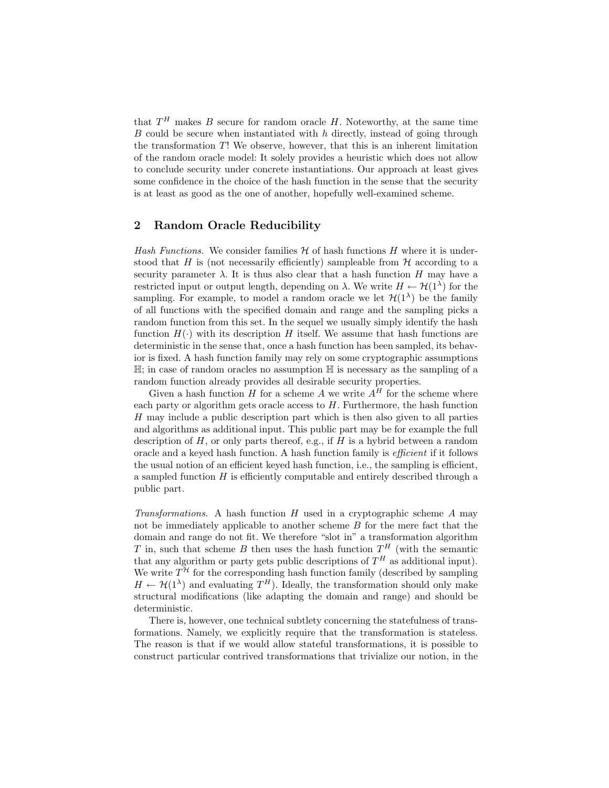that  $T^H$  makes B secure for random oracle H. Noteworthy, at the same time B could be secure when instantiated with  $h$  directly, instead of going through the transformation  $T!$  We observe, however, that this is an inherent limitation of the random oracle model: It solely provides a heuristic which does not allow to conclude security under concrete instantiations. Our approach at least gives some confidence in the choice of the hash function in the sense that the security is at least as good as the one of another, hopefully well-examined scheme.

## 2 Random Oracle Reducibility

Hash Functions. We consider families  $H$  of hash functions H where it is understood that H is (not necessarily efficiently) sampleable from  $H$  according to a security parameter  $\lambda$ . It is thus also clear that a hash function H may have a restricted input or output length, depending on  $\lambda$ . We write  $H \leftarrow \mathcal{H}(1^{\lambda})$  for the sampling. For example, to model a random oracle we let  $\mathcal{H}(1^{\lambda})$  be the family of all functions with the specified domain and range and the sampling picks a random function from this set. In the sequel we usually simply identify the hash function  $H(\cdot)$  with its description H itself. We assume that hash functions are deterministic in the sense that, once a hash function has been sampled, its behavior is fixed. A hash function family may rely on some cryptographic assumptions  $\mathbb{H}$ ; in case of random oracles no assumption  $\mathbb{H}$  is necessary as the sampling of a random function already provides all desirable security properties.

Given a hash function H for a scheme A we write  $A^H$  for the scheme where each party or algorithm gets oracle access to  $H$ . Furthermore, the hash function H may include a public description part which is then also given to all parties and algorithms as additional input. This public part may be for example the full description of  $H$ , or only parts thereof, e.g., if  $H$  is a hybrid between a random oracle and a keyed hash function. A hash function family is efficient if it follows the usual notion of an efficient keyed hash function, i.e., the sampling is efficient, a sampled function H is efficiently computable and entirely described through a public part.

Transformations. A hash function  $H$  used in a cryptographic scheme  $A$  may not be immediately applicable to another scheme B for the mere fact that the domain and range do not fit. We therefore "slot in" a transformation algorithm T in, such that scheme B then uses the hash function  $T^H$  (with the semantic that any algorithm or party gets public descriptions of  $T^H$  as additional input). We write  $T^{\mathcal{H}}$  for the corresponding hash function family (described by sampling  $H \leftarrow \mathcal{H}(1^{\lambda})$  and evaluating  $T^H$ ). Ideally, the transformation should only make structural modifications (like adapting the domain and range) and should be deterministic.

There is, however, one technical subtlety concerning the statefulness of transformations. Namely, we explicitly require that the transformation is stateless. The reason is that if we would allow stateful transformations, it is possible to construct particular contrived transformations that trivialize our notion, in the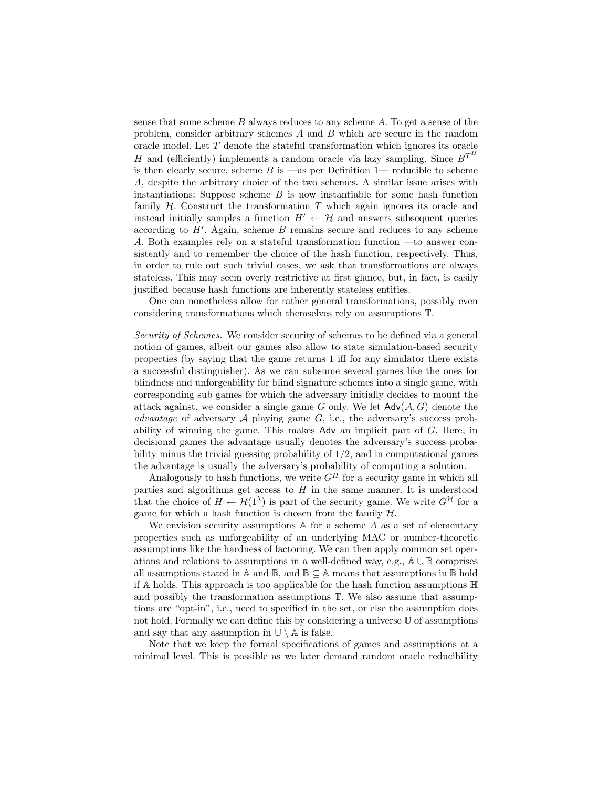sense that some scheme  $B$  always reduces to any scheme  $A$ . To get a sense of the problem, consider arbitrary schemes A and B which are secure in the random oracle model. Let  $T$  denote the stateful transformation which ignores its oracle H and (efficiently) implements a random oracle via lazy sampling. Since  $B^{T^H}$ is then clearly secure, scheme  $B$  is —as per Definition 1— reducible to scheme A, despite the arbitrary choice of the two schemes. A similar issue arises with instantiations: Suppose scheme  $B$  is now instantiable for some hash function family  $H$ . Construct the transformation  $T$  which again ignores its oracle and instead initially samples a function  $H' \leftarrow H$  and answers subsequent queries according to  $H'$ . Again, scheme  $B$  remains secure and reduces to any scheme A. Both examples rely on a stateful transformation function —to answer consistently and to remember the choice of the hash function, respectively. Thus, in order to rule out such trivial cases, we ask that transformations are always stateless. This may seem overly restrictive at first glance, but, in fact, is easily justified because hash functions are inherently stateless entities.

One can nonetheless allow for rather general transformations, possibly even considering transformations which themselves rely on assumptions T.

Security of Schemes. We consider security of schemes to be defined via a general notion of games, albeit our games also allow to state simulation-based security properties (by saying that the game returns 1 iff for any simulator there exists a successful distinguisher). As we can subsume several games like the ones for blindness and unforgeability for blind signature schemes into a single game, with corresponding sub games for which the adversary initially decides to mount the attack against, we consider a single game G only. We let  $\mathsf{Adv}(\mathcal{A}, G)$  denote the advantage of adversary  $A$  playing game  $G$ , i.e., the adversary's success probability of winning the game. This makes  $\Delta d\mathbf{v}$  an implicit part of  $G$ . Here, in decisional games the advantage usually denotes the adversary's success probability minus the trivial guessing probability of  $1/2$ , and in computational games the advantage is usually the adversary's probability of computing a solution.

Analogously to hash functions, we write  $G<sup>H</sup>$  for a security game in which all parties and algorithms get access to  $H$  in the same manner. It is understood that the choice of  $H \leftarrow \mathcal{H}(1^{\lambda})$  is part of the security game. We write  $G^{\mathcal{H}}$  for a game for which a hash function is chosen from the family  $H$ .

We envision security assumptions  $A$  for a scheme A as a set of elementary properties such as unforgeability of an underlying MAC or number-theoretic assumptions like the hardness of factoring. We can then apply common set operations and relations to assumptions in a well-defined way, e.g.,  $\mathbb{A} \cup \mathbb{B}$  comprises all assumptions stated in  $A$  and  $B$ , and  $B \subseteq A$  means that assumptions in B hold if A holds. This approach is too applicable for the hash function assumptions H and possibly the transformation assumptions T. We also assume that assumptions are "opt-in", i.e., need to specified in the set, or else the assumption does not hold. Formally we can define this by considering a universe U of assumptions and say that any assumption in  $\mathbb{U} \setminus \mathbb{A}$  is false.

Note that we keep the formal specifications of games and assumptions at a minimal level. This is possible as we later demand random oracle reducibility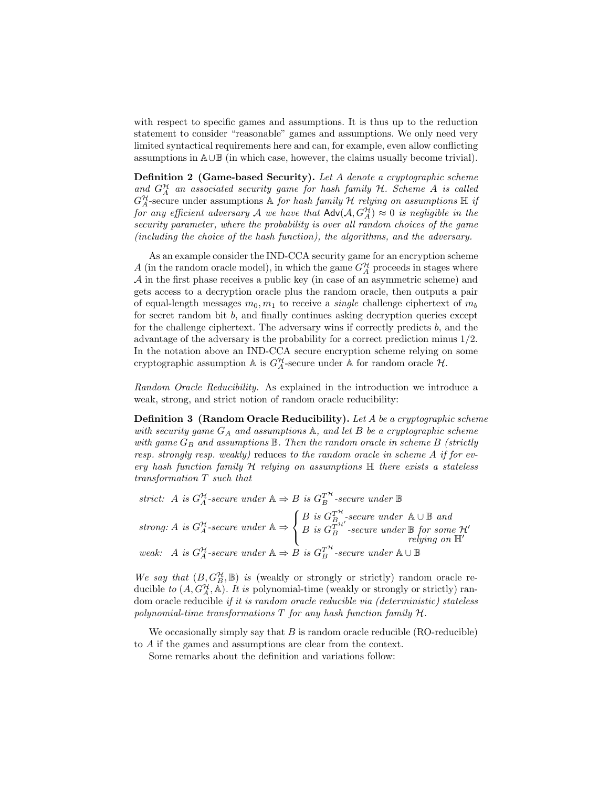with respect to specific games and assumptions. It is thus up to the reduction statement to consider "reasonable" games and assumptions. We only need very limited syntactical requirements here and can, for example, even allow conflicting assumptions in A∪B (in which case, however, the claims usually become trivial).

**Definition 2 (Game-based Security).** Let A denote a cryptographic scheme and  $G_A^{\mathcal{H}}$  an associated security game for hash family  $\mathcal{H}$ . Scheme A is called  $G_A^{\mathcal{H}}$ -secure under assumptions A for hash family H relying on assumptions  $\mathbb H$  if for any efficient adversary A we have that  $\mathsf{Adv}(\mathcal{A}, G_A^{\mathcal{H}}) \approx 0$  is negligible in the security parameter, where the probability is over all random choices of the game (including the choice of the hash function), the algorithms, and the adversary.

As an example consider the IND-CCA security game for an encryption scheme A (in the random oracle model), in which the game  $G_A^{\mathcal{H}}$  proceeds in stages where A in the first phase receives a public key (in case of an asymmetric scheme) and gets access to a decryption oracle plus the random oracle, then outputs a pair of equal-length messages  $m_0, m_1$  to receive a *single* challenge ciphertext of  $m_b$ for secret random bit b, and finally continues asking decryption queries except for the challenge ciphertext. The adversary wins if correctly predicts  $b$ , and the advantage of the adversary is the probability for a correct prediction minus 1/2. In the notation above an IND-CCA secure encryption scheme relying on some cryptographic assumption A is  $G_A^{\mathcal{H}}$ -secure under A for random oracle  $\mathcal{H}$ .

Random Oracle Reducibility. As explained in the introduction we introduce a weak, strong, and strict notion of random oracle reducibility:

**Definition 3 (Random Oracle Reducibility).** Let A be a cryptographic scheme with security game  $G_A$  and assumptions  $A$ , and let  $B$  be a cryptographic scheme with game  $G_B$  and assumptions  $\mathbb B$ . Then the random oracle in scheme  $B$  (strictly resp. strongly resp. weakly) reduces to the random oracle in scheme A if for every hash function family  $H$  relying on assumptions  $\mathbb H$  there exists a stateless transformation T such that

strict: A is  $G_A^{\mathcal{H}}$ -secure under  $\mathbb{A} \Rightarrow B$  is  $G_B^{T^{\mathcal{H}}}$ -secure under  $\mathbb B$ strong: A is  $G_A^{\mathcal{H}}$ -secure under  $\mathbb{A} \Rightarrow$  $\sqrt{ }$ J  $\mathcal{L}$ B is  $G_{B_{\alpha\beta}}^{T^{\mathcal{H}}}$ -secure under  $\mathbb{A}\cup\mathbb{B}$  and  $B$  is  $G_B^{T\mathcal{H}}$ -secure under  $\mathbb B$  for some  $\mathcal{H}'$ <br>relying on  $\mathbb H'$ weak: A is  $G_A^{\mathcal{H}}$ -secure under  $\mathbb{A} \Rightarrow B$  is  $G_B^{T^{\mathcal{H}}}$ -secure under  $\mathbb{A} \cup \mathbb{B}$ 

We say that  $(B, G_B^{\mathcal{H}}, \mathbb{B})$  is (weakly or strongly or strictly) random oracle reducible to  $(A, G_A^{\mathcal{H}}, \mathbb{A})$ . It is polynomial-time (weakly or strongly or strictly) random oracle reducible if it is random oracle reducible via (deterministic) stateless polynomial-time transformations  $T$  for any hash function family  $H$ .

We occasionally simply say that  $B$  is random oracle reducible (RO-reducible) to A if the games and assumptions are clear from the context.

Some remarks about the definition and variations follow: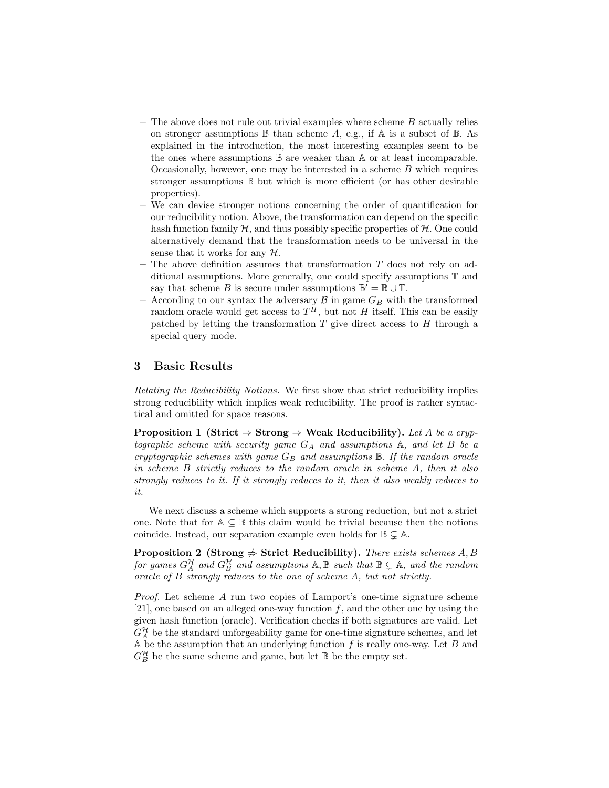- $-$  The above does not rule out trivial examples where scheme  $B$  actually relies on stronger assumptions  $\mathbb B$  than scheme A, e.g., if  $\mathbb A$  is a subset of  $\mathbb B$ . As explained in the introduction, the most interesting examples seem to be the ones where assumptions B are weaker than A or at least incomparable. Occasionally, however, one may be interested in a scheme  $B$  which requires stronger assumptions B but which is more efficient (or has other desirable properties).
- We can devise stronger notions concerning the order of quantification for our reducibility notion. Above, the transformation can depend on the specific hash function family  $H$ , and thus possibly specific properties of  $H$ . One could alternatively demand that the transformation needs to be universal in the sense that it works for any  $H$ .
- The above definition assumes that transformation T does not rely on additional assumptions. More generally, one could specify assumptions T and say that scheme B is secure under assumptions  $\mathbb{B}' = \mathbb{B} \cup \mathbb{T}$ .
- According to our syntax the adversary  $\beta$  in game  $G_B$  with the transformed random oracle would get access to  $T^H$ , but not H itself. This can be easily patched by letting the transformation  $T$  give direct access to  $H$  through a special query mode.

# 3 Basic Results

Relating the Reducibility Notions. We first show that strict reducibility implies strong reducibility which implies weak reducibility. The proof is rather syntactical and omitted for space reasons.

**Proposition 1** (Strict  $\Rightarrow$  Strong  $\Rightarrow$  Weak Reducibility). Let A be a cryptographic scheme with security game  $G_A$  and assumptions  $A$ , and let  $B$  be a cryptographic schemes with game  $G_B$  and assumptions  $\mathbb B$ . If the random oracle in scheme B strictly reduces to the random oracle in scheme A, then it also strongly reduces to it. If it strongly reduces to it, then it also weakly reduces to it.

We next discuss a scheme which supports a strong reduction, but not a strict one. Note that for  $A \subseteq \mathbb{B}$  this claim would be trivial because then the notions coincide. Instead, our separation example even holds for  $\mathbb{B} \subset \mathbb{A}$ .

**Proposition 2** (Strong  $\neq$  Strict Reducibility). There exists schemes A, B for games  $G_A^{\mathcal{H}}$  and  $G_B^{\mathcal{H}}$  and assumptions  $\mathbb{A}, \mathbb{B}$  such that  $\mathbb{B} \subsetneq \mathbb{A}$ , and the random oracle of B strongly reduces to the one of scheme A, but not strictly.

Proof. Let scheme A run two copies of Lamport's one-time signature scheme [21], one based on an alleged one-way function  $f$ , and the other one by using the given hash function (oracle). Verification checks if both signatures are valid. Let  $G_A^{\mathcal{H}}$  be the standard unforgeability game for one-time signature schemes, and let A be the assumption that an underlying function  $f$  is really one-way. Let  $B$  and  $G_B^{\mathcal H}$  be the same scheme and game, but let  $\mathbb B$  be the empty set.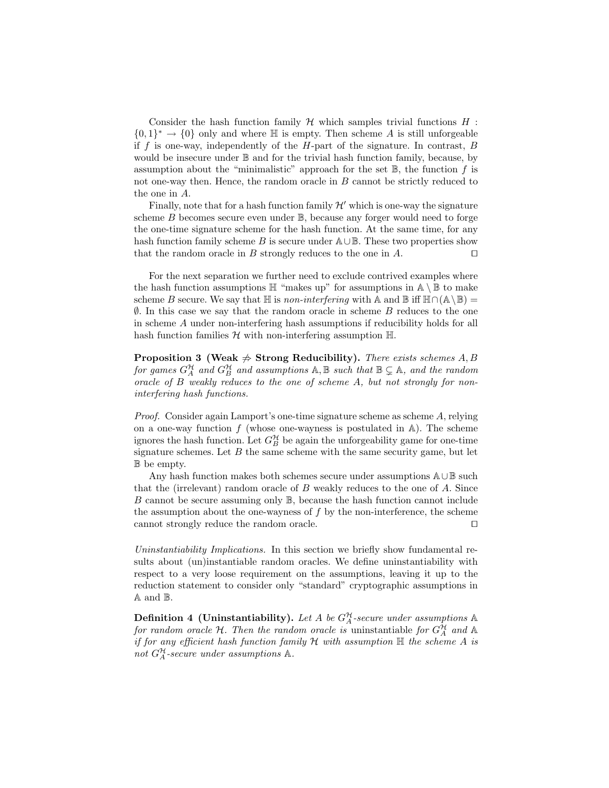Consider the hash function family  $\mathcal H$  which samples trivial functions  $H$ :  ${0,1}^* \rightarrow {0}$  only and where  $\mathbb H$  is empty. Then scheme A is still unforgeable if f is one-way, independently of the  $H$ -part of the signature. In contrast,  $B$ would be insecure under B and for the trivial hash function family, because, by assumption about the "minimalistic" approach for the set  $\mathbb{B}$ , the function f is not one-way then. Hence, the random oracle in  $B$  cannot be strictly reduced to the one in A.

Finally, note that for a hash function family  $\mathcal{H}'$  which is one-way the signature scheme  $B$  becomes secure even under  $\mathbb{B}$ , because any forger would need to forge the one-time signature scheme for the hash function. At the same time, for any hash function family scheme B is secure under  $\mathbb{A}\cup\mathbb{B}$ . These two properties show that the random oracle in B strongly reduces to the one in A.  $\Box$ 

For the next separation we further need to exclude contrived examples where the hash function assumptions  $\mathbb H$  "makes up" for assumptions in  $\mathbb A \setminus \mathbb B$  to make scheme B secure. We say that H is non-interfering with A and B iff  $\mathbb{H}\cap(\mathbb{A}\setminus\mathbb{B})=$  $\emptyset$ . In this case we say that the random oracle in scheme  $B$  reduces to the one in scheme A under non-interfering hash assumptions if reducibility holds for all hash function families  $H$  with non-interfering assumption  $H$ .

**Proposition 3 (Weak**  $\neq$  **Strong Reducibility).** There exists schemes  $A, B$ for games  $G_A^{\mathcal{H}}$  and  $G_B^{\mathcal{H}}$  and assumptions  $\mathbb{A}, \mathbb{B}$  such that  $\mathbb{B} \subsetneq \mathbb{A}$ , and the random oracle of B weakly reduces to the one of scheme A, but not strongly for noninterfering hash functions.

Proof. Consider again Lamport's one-time signature scheme as scheme A, relying on a one-way function f (whose one-wayness is postulated in  $A$ ). The scheme ignores the hash function. Let  $G_B^{\mathcal{H}}$  be again the unforgeability game for one-time signature schemes. Let  $B$  the same scheme with the same security game, but let B be empty.

Any hash function makes both schemes secure under assumptions  $A ∪ B$  such that the (irrelevant) random oracle of B weakly reduces to the one of A. Since B cannot be secure assuming only B, because the hash function cannot include the assumption about the one-wayness of f by the non-interference, the scheme cannot strongly reduce the random oracle.  $\Box$ 

Uninstantiability Implications. In this section we briefly show fundamental results about (un)instantiable random oracles. We define uninstantiability with respect to a very loose requirement on the assumptions, leaving it up to the reduction statement to consider only "standard" cryptographic assumptions in A and B.

**Definition 4 (Uninstantiability).** Let A be  $G_A^{\mathcal{H}}$ -secure under assumptions A for random oracle H. Then the random oracle is uninstantiable for  $G_A^{\mathcal{H}}$  and  $\mathbb A$ if for any efficient hash function family  $H$  with assumption  $H$  the scheme  $A$  is not  $G_A^{\mathcal{H}}$ -secure under assumptions  $\mathbb{A}$ .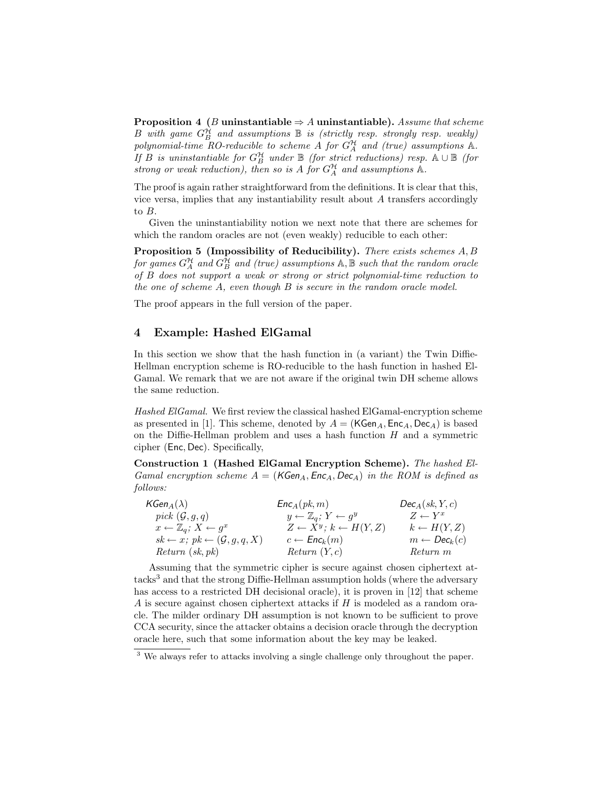**Proposition 4** (B uninstantiable  $\Rightarrow$  A uninstantiable). Assume that scheme B with game  $G_B^{\mathcal{H}}$  and assumptions  $\mathbb B$  is (strictly resp. strongly resp. weakly) polynomial-time RO-reducible to scheme A for  $G_A^{\mathcal{H}}$  and (true) assumptions A. If B is uninstantiable for  $G_B^{\mathcal{H}}$  under  $\mathbb B$  (for strict reductions) resp.  $\mathbb A \cup \mathbb B$  (for strong or weak reduction), then so is A for  $G_A^{\mathcal{H}}$  and assumptions A.

The proof is again rather straightforward from the definitions. It is clear that this, vice versa, implies that any instantiability result about A transfers accordingly to B.

Given the uninstantiability notion we next note that there are schemes for which the random oracles are not (even weakly) reducible to each other:

Proposition 5 (Impossibility of Reducibility). There exists schemes A, B for games  $G_A^{\mathcal H}$  and  $G_B^{\mathcal H}$  and (true) assumptions  $\mathbb A,\mathbb B$  such that the random oracle of B does not support a weak or strong or strict polynomial-time reduction to the one of scheme A, even though B is secure in the random oracle model.

The proof appears in the full version of the paper.

#### 4 Example: Hashed ElGamal

In this section we show that the hash function in (a variant) the Twin Diffie-Hellman encryption scheme is RO-reducible to the hash function in hashed El-Gamal. We remark that we are not aware if the original twin DH scheme allows the same reduction.

Hashed ElGamal. We first review the classical hashed ElGamal-encryption scheme as presented in [1]. This scheme, denoted by  $A = (KGen_A, Enc_A, Dec_A)$  is based on the Diffie-Hellman problem and uses a hash function  $H$  and a symmetric cipher (Enc, Dec). Specifically,

Construction 1 (Hashed ElGamal Encryption Scheme). The hashed El-Gamal encryption scheme  $A = (KGen_A, Enc_A, Dec_A)$  in the ROM is defined as follows:

| KGen $_A(\lambda)$                                         | $Enc_A(pk, m)$                                   | $Dec_A(\mathit{sk}, Y, c)$ |
|------------------------------------------------------------|--------------------------------------------------|----------------------------|
| pick $(\mathcal{G},g,q)$                                   | $y \leftarrow \mathbb{Z}_q$ ; $Y \leftarrow g^y$ | $Z \leftarrow Y^x$         |
| $x \leftarrow \mathbb{Z}_q$ ; $X \leftarrow g^x$           | $Z \leftarrow X^y$ ; $k \leftarrow H(Y, Z)$      | $k \leftarrow H(Y, Z)$     |
| $sk \leftarrow x$ ; $pk \leftarrow (\mathcal{G}, g, q, X)$ | $c \leftarrow \mathsf{Enc}_k(m)$                 | $m \leftarrow Dec_k(c)$    |
| Return (sk, pk)                                            | Return(Y, c)                                     | Return m                   |

Assuming that the symmetric cipher is secure against chosen ciphertext attacks<sup>3</sup> and that the strong Diffie-Hellman assumption holds (where the adversary has access to a restricted DH decisional oracle), it is proven in [12] that scheme A is secure against chosen ciphertext attacks if  $H$  is modeled as a random oracle. The milder ordinary DH assumption is not known to be sufficient to prove CCA security, since the attacker obtains a decision oracle through the decryption oracle here, such that some information about the key may be leaked.

<sup>&</sup>lt;sup>3</sup> We always refer to attacks involving a single challenge only throughout the paper.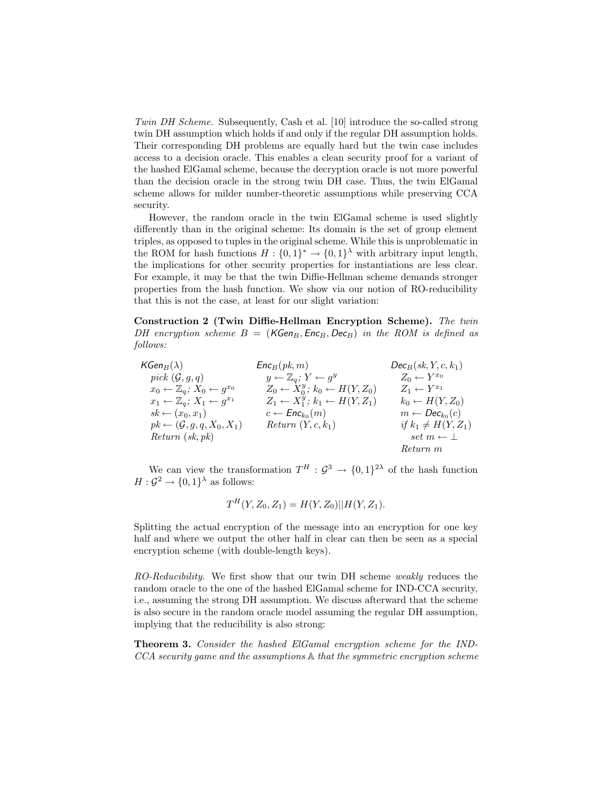Twin DH Scheme. Subsequently, Cash et al. [10] introduce the so-called strong twin DH assumption which holds if and only if the regular DH assumption holds. Their corresponding DH problems are equally hard but the twin case includes access to a decision oracle. This enables a clean security proof for a variant of the hashed ElGamal scheme, because the decryption oracle is not more powerful than the decision oracle in the strong twin DH case. Thus, the twin ElGamal scheme allows for milder number-theoretic assumptions while preserving CCA security.

However, the random oracle in the twin ElGamal scheme is used slightly differently than in the original scheme: Its domain is the set of group element triples, as opposed to tuples in the original scheme. While this is unproblematic in the ROM for hash functions  $H: \{0,1\}^* \to \{0,1\}^{\lambda}$  with arbitrary input length, the implications for other security properties for instantiations are less clear. For example, it may be that the twin Diffie-Hellman scheme demands stronger properties from the hash function. We show via our notion of RO-reducibility that this is not the case, at least for our slight variation:

Construction 2 (Twin Diffie-Hellman Encryption Scheme). The twin DH encryption scheme  $B = (KGen_B, Enc_B, Dec_B)$  in the ROM is defined as follows:

| $KGen_B(\lambda)$                                        | $Enc_B(pk, m)$                                      | $Dec_B(\mathit{sk}, Y, c, k_1)$ |
|----------------------------------------------------------|-----------------------------------------------------|---------------------------------|
| pick $(\mathcal{G}, g, q)$                               | $y \leftarrow \mathbb{Z}_q$ ; $Y \leftarrow q^y$    | $Z_0 \leftarrow Y^{x_0}$        |
| $x_0 \leftarrow \mathbb{Z}_q$ ; $X_0 \leftarrow g^{x_0}$ | $Z_0 \leftarrow X_0^y$ ; $k_0 \leftarrow H(Y, Z_0)$ | $Z_1 \leftarrow Y^{x_1}$        |
| $x_1 \leftarrow \mathbb{Z}_q$ ; $X_1 \leftarrow q^{x_1}$ | $Z_1 \leftarrow X_1^y$ ; $k_1 \leftarrow H(Y, Z_1)$ | $k_0 \leftarrow H(Y, Z_0)$      |
| $sk \leftarrow (x_0, x_1)$                               | $c \leftarrow \mathsf{Enc}_{k_0}(m)$                | $m \leftarrow Dec_{k_0}(c)$     |
| $pk \leftarrow (\mathcal{G}, q, q, X_0, X_1)$            | $Return(Y, c, k_1)$                                 | if $k_1 \neq H(Y, Z_1)$         |
| Return (sk, pk)                                          |                                                     | set $m \leftarrow \perp$        |
|                                                          |                                                     | Return m                        |

We can view the transformation  $T^H: \mathcal{G}^3 \to \{0,1\}^{2\lambda}$  of the hash function  $H: \mathcal{G}^2 \to \{0,1\}^{\lambda}$  as follows:

$$
T^H(Y, Z_0, Z_1) = H(Y, Z_0)||H(Y, Z_1).
$$

Splitting the actual encryption of the message into an encryption for one key half and where we output the other half in clear can then be seen as a special encryption scheme (with double-length keys).

RO-Reducibility. We first show that our twin DH scheme weakly reduces the random oracle to the one of the hashed ElGamal scheme for IND-CCA security, i.e., assuming the strong DH assumption. We discuss afterward that the scheme is also secure in the random oracle model assuming the regular DH assumption, implying that the reducibility is also strong:

Theorem 3. Consider the hashed ElGamal encryption scheme for the IND- $CCA$  security game and the assumptions  $\mathbb A$  that the symmetric encryption scheme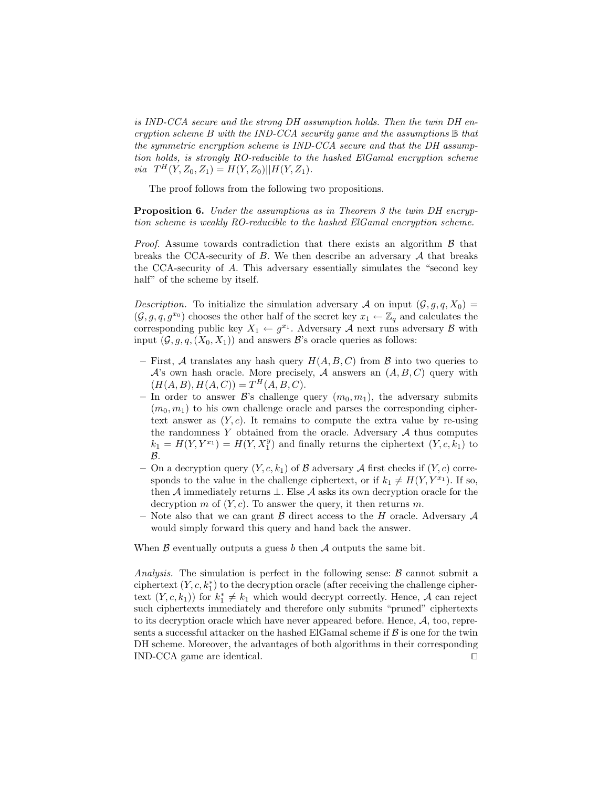is IND-CCA secure and the strong DH assumption holds. Then the twin DH encryption scheme B with the IND-CCA security game and the assumptions  $\mathbb B$  that the symmetric encryption scheme is IND-CCA secure and that the DH assumption holds, is strongly RO-reducible to the hashed ElGamal encryption scheme via  $T^H(Y, Z_0, Z_1) = H(Y, Z_0)||H(Y, Z_1)$ .

The proof follows from the following two propositions.

Proposition 6. Under the assumptions as in Theorem 3 the twin DH encryption scheme is weakly RO-reducible to the hashed ElGamal encryption scheme.

*Proof.* Assume towards contradiction that there exists an algorithm  $\beta$  that breaks the CCA-security of  $B$ . We then describe an adversary  $A$  that breaks the CCA-security of A. This adversary essentially simulates the "second key half" of the scheme by itself.

Description. To initialize the simulation adversary A on input  $(\mathcal{G}, g, q, X_0) =$  $(\mathcal{G}, g, q, g^{x_0})$  chooses the other half of the secret key  $x_1 \leftarrow \mathbb{Z}_q$  and calculates the corresponding public key  $X_1 \leftarrow g^{x_1}$ . Adversary A next runs adversary B with input  $(\mathcal{G}, q, q, (X_0, X_1))$  and answers  $\mathcal{B}$ 's oracle queries as follows:

- First, A translates any hash query  $H(A, B, C)$  from B into two queries to  $\mathcal{A}$ 's own hash oracle. More precisely,  $\mathcal{A}$  answers an  $(A, B, C)$  query with  $(H(A, B), H(A, C)) = T^H(A, B, C).$
- In order to answer  $\mathcal{B}$ 's challenge query  $(m_0, m_1)$ , the adversary submits  $(m_0, m_1)$  to his own challenge oracle and parses the corresponding ciphertext answer as  $(Y, c)$ . It remains to compute the extra value by re-using the randomness Y obtained from the oracle. Adversary  $A$  thus computes  $k_1 = H(Y, Y^{x_1}) = H(Y, X_1^y)$  and finally returns the ciphertext  $(Y, c, k_1)$  to B.
- On a decryption query  $(Y, c, k_1)$  of  $\beta$  adversary  $\mathcal A$  first checks if  $(Y, c)$  corresponds to the value in the challenge ciphertext, or if  $k_1 \neq H(Y, Y^{x_1})$ . If so, then  $\mathcal A$  immediately returns  $\bot$ . Else  $\mathcal A$  asks its own decryption oracle for the decryption m of  $(Y, c)$ . To answer the query, it then returns m.
- Note also that we can grant  $\beta$  direct access to the H oracle. Adversary  $\mathcal A$ would simply forward this query and hand back the answer.

When  $\beta$  eventually outputs a guess b then  $\mathcal A$  outputs the same bit.

Analysis. The simulation is perfect in the following sense:  $\beta$  cannot submit a ciphertext  $(Y, c, k_1^*)$  to the decryption oracle (after receiving the challenge ciphertext  $(Y, c, k_1)$  for  $k_1^* \neq k_1$  which would decrypt correctly. Hence, A can reject such ciphertexts immediately and therefore only submits "pruned" ciphertexts to its decryption oracle which have never appeared before. Hence,  $A$ , too, represents a successful attacker on the hashed ElGamal scheme if  $\beta$  is one for the twin DH scheme. Moreover, the advantages of both algorithms in their corresponding IND-CCA game are identical.  $\square$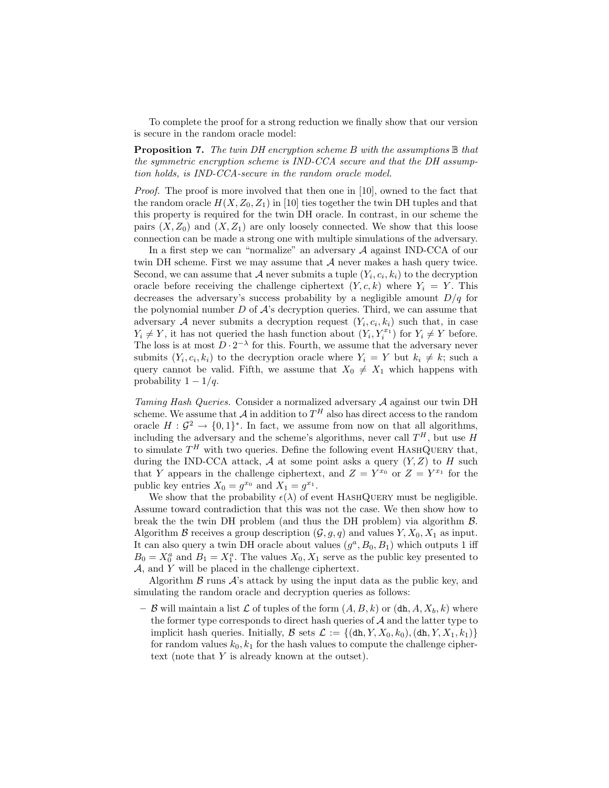To complete the proof for a strong reduction we finally show that our version is secure in the random oracle model:

**Proposition 7.** The twin DH encryption scheme B with the assumptions  $\mathbb B$  that the symmetric encryption scheme is IND-CCA secure and that the DH assumption holds, is IND-CCA-secure in the random oracle model.

Proof. The proof is more involved that then one in [10], owned to the fact that the random oracle  $H(X, Z_0, Z_1)$  in [10] ties together the twin DH tuples and that this property is required for the twin DH oracle. In contrast, in our scheme the pairs  $(X, Z_0)$  and  $(X, Z_1)$  are only loosely connected. We show that this loose connection can be made a strong one with multiple simulations of the adversary.

In a first step we can "normalize" an adversary  $A$  against IND-CCA of our twin DH scheme. First we may assume that A never makes a hash query twice. Second, we can assume that A never submits a tuple  $(Y_i, c_i, k_i)$  to the decryption oracle before receiving the challenge ciphertext  $(Y, c, k)$  where  $Y_i = Y$ . This decreases the adversary's success probability by a negligible amount  $D/q$  for the polynomial number  $D$  of  $\mathcal{A}$ 's decryption queries. Third, we can assume that adversary A never submits a decryption request  $(Y_i, c_i, k_i)$  such that, in case  $Y_i \neq Y$ , it has not queried the hash function about  $(Y_i, Y_i^{x_1})$  for  $Y_i \neq Y$  before. The loss is at most  $D \cdot 2^{-\lambda}$  for this. Fourth, we assume that the adversary never submits  $(Y_i, c_i, k_i)$  to the decryption oracle where  $Y_i = Y$  but  $k_i \neq k$ ; such a query cannot be valid. Fifth, we assume that  $X_0 \neq X_1$  which happens with probability  $1 - 1/q$ .

Taming Hash Queries. Consider a normalized adversary A against our twin DH scheme. We assume that  $A$  in addition to  $T^H$  also has direct access to the random oracle  $H: \mathcal{G}^2 \to \{0,1\}^*$ . In fact, we assume from now on that all algorithms, including the adversary and the scheme's algorithms, never call  $T<sup>H</sup>$ , but use H to simulate  $T^H$  with two queries. Define the following event HASHQUERY that, during the IND-CCA attack,  $A$  at some point asks a query  $(Y, Z)$  to  $H$  such that Y appears in the challenge ciphertext, and  $Z = Y^{x_0}$  or  $Z = Y^{x_1}$  for the public key entries  $X_0 = g^{x_0}$  and  $X_1 = g^{x_1}$ .

We show that the probability  $\epsilon(\lambda)$  of event HASHQUERY must be negligible. Assume toward contradiction that this was not the case. We then show how to break the the twin DH problem (and thus the DH problem) via algorithm  $\beta$ . Algorithm B receives a group description  $(\mathcal{G}, g, q)$  and values  $Y, X_0, X_1$  as input. It can also query a twin DH oracle about values  $(g^a, B_0, B_1)$  which outputs 1 iff  $B_0 = X_0^a$  and  $B_1 = X_1^a$ . The values  $X_0, X_1$  serve as the public key presented to  $\mathcal A$ , and Y will be placed in the challenge ciphertext.

Algorithm  $\beta$  runs  $\lambda$ 's attack by using the input data as the public key, and simulating the random oracle and decryption queries as follows:

 $-$  B will maintain a list L of tuples of the form  $(A, B, k)$  or  $(\mathrm{dh}, A, X_h, k)$  where the former type corresponds to direct hash queries of  $A$  and the latter type to implicit hash queries. Initially,  $\mathcal{B}$  sets  $\mathcal{L} := \{(\text{dh}, Y, X_0, k_0), (\text{dh}, Y, X_1, k_1)\}\$ for random values  $k_0, k_1$  for the hash values to compute the challenge ciphertext (note that Y is already known at the outset).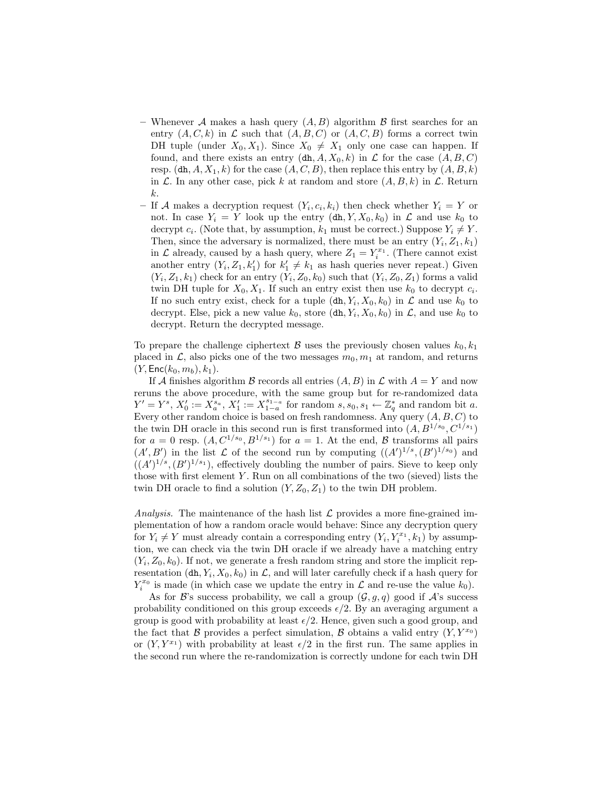- Whenever A makes a hash query  $(A, B)$  algorithm B first searches for an entry  $(A, C, k)$  in  $\mathcal L$  such that  $(A, B, C)$  or  $(A, C, B)$  forms a correct twin DH tuple (under  $X_0, X_1$ ). Since  $X_0 \neq X_1$  only one case can happen. If found, and there exists an entry  $(dh, A, X_0, k)$  in  $\mathcal L$  for the case  $(A, B, C)$ resp. (dh,  $A, X_1, k$ ) for the case  $(A, C, B)$ , then replace this entry by  $(A, B, k)$ in  $\mathcal L$ . In any other case, pick k at random and store  $(A, B, k)$  in  $\mathcal L$ . Return k.
- If A makes a decryption request  $(Y_i, c_i, k_i)$  then check whether  $Y_i = Y$  or not. In case  $Y_i = Y$  look up the entry  $(dh, Y, X_0, k_0)$  in  $\mathcal L$  and use  $k_0$  to decrypt  $c_i$ . (Note that, by assumption,  $k_1$  must be correct.) Suppose  $Y_i \neq Y$ . Then, since the adversary is normalized, there must be an entry  $(Y_i, Z_1, k_1)$ in  $\mathcal L$  already, caused by a hash query, where  $Z_1 = Y_i^{x_1}$ . (There cannot exist another entry  $(Y_i, Z_1, k'_1)$  for  $k'_1 \neq k_1$  as hash queries never repeat.) Given  $(Y_i, Z_1, k_1)$  check for an entry  $(Y_i, Z_0, k_0)$  such that  $(Y_i, Z_0, Z_1)$  forms a valid twin DH tuple for  $X_0, X_1$ . If such an entry exist then use  $k_0$  to decrypt  $c_i$ . If no such entry exist, check for a tuple  $(dh, Y_i, X_0, k_0)$  in  $\mathcal L$  and use  $k_0$  to decrypt. Else, pick a new value  $k_0$ , store  $(\mathbf{dh}, Y_i, X_0, k_0)$  in  $\mathcal{L}$ , and use  $k_0$  to decrypt. Return the decrypted message.

To prepare the challenge ciphertext  $\mathcal B$  uses the previously chosen values  $k_0, k_1$ placed in  $\mathcal{L}$ , also picks one of the two messages  $m_0, m_1$  at random, and returns  $(Y, \textsf{Enc}(k_0, m_b), k_1)$ .

If A finishes algorithm B records all entries  $(A, B)$  in  $\mathcal L$  with  $A = Y$  and now reruns the above procedure, with the same group but for re-randomized data  $Y' = Y^s$ ,  $X'_0 := X_a^{s_a}$ ,  $X'_1 := X_{1-a}^{s_{1-a}}$  for random  $s, s_0, s_1 \leftarrow \mathbb{Z}_q^*$  and random bit a. Every other random choice is based on fresh randomness. Any query  $(A, B, C)$  to the twin DH oracle in this second run is first transformed into  $(A, B^{1/s_0}, C^{1/s_1})$ for  $a = 0$  resp.  $(A, C^{1/s_0}, B^{1/s_1})$  for  $a = 1$ . At the end, B transforms all pairs  $(A', B')$  in the list  $\mathcal L$  of the second run by computing  $((A')^{1/s}, (B')^{1/s_0})$  and  $((A<sup>i</sup>)<sup>1/s</sup>, (B')<sup>1/s<sub>1</sub></sup>),$  effectively doubling the number of pairs. Sieve to keep only those with first element  $Y$ . Run on all combinations of the two (sieved) lists the twin DH oracle to find a solution  $(Y, Z_0, Z_1)$  to the twin DH problem.

Analysis. The maintenance of the hash list  $\mathcal L$  provides a more fine-grained implementation of how a random oracle would behave: Since any decryption query for  $Y_i \neq Y$  must already contain a corresponding entry  $(Y_i, Y_i^{x_1}, k_1)$  by assumption, we can check via the twin DH oracle if we already have a matching entry  $(Y_i, Z_0, k_0)$ . If not, we generate a fresh random string and store the implicit representation (dh,  $Y_i$ ,  $X_0$ ,  $k_0$ ) in  $\mathcal{L}$ , and will later carefully check if a hash query for  $Y_i^{x_0}$  is made (in which case we update the entry in  $\mathcal L$  and re-use the value  $k_0$ ).

As for  $\mathcal{B}$ 's success probability, we call a group  $(\mathcal{G}, g, q)$  good if  $\mathcal{A}$ 's success probability conditioned on this group exceeds  $\epsilon/2$ . By an averaging argument a group is good with probability at least  $\epsilon/2$ . Hence, given such a good group, and the fact that B provides a perfect simulation, B obtains a valid entry  $(Y, Y^{x_0})$ or  $(Y, Y^{x_1})$  with probability at least  $\epsilon/2$  in the first run. The same applies in the second run where the re-randomization is correctly undone for each twin DH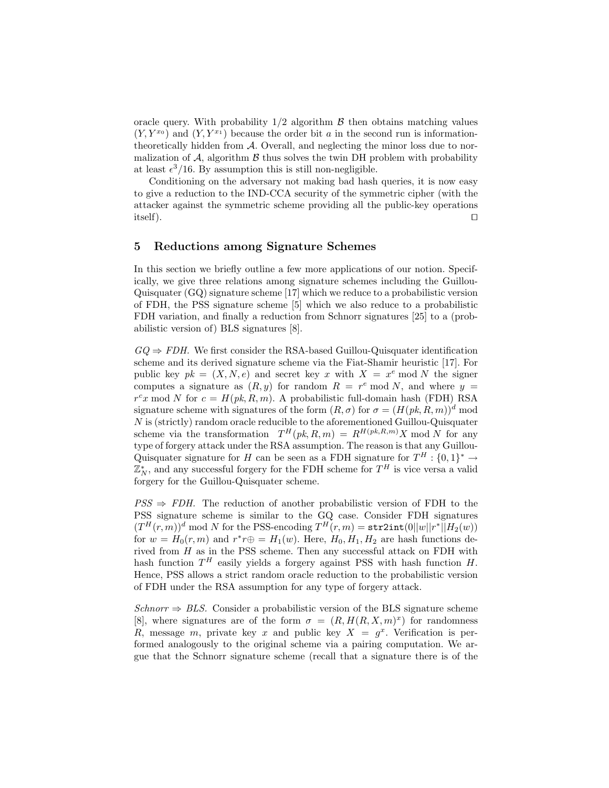oracle query. With probability  $1/2$  algorithm  $\beta$  then obtains matching values  $(Y, Y^{x_0})$  and  $(Y, Y^{x_1})$  because the order bit a in the second run is informationtheoretically hidden from A. Overall, and neglecting the minor loss due to normalization of  $A$ , algorithm  $B$  thus solves the twin DH problem with probability at least  $\epsilon^3/16$ . By assumption this is still non-negligible.

Conditioning on the adversary not making bad hash queries, it is now easy to give a reduction to the IND-CCA security of the symmetric cipher (with the attacker against the symmetric scheme providing all the public-key operations itself).  $\square$ 

#### 5 Reductions among Signature Schemes

In this section we briefly outline a few more applications of our notion. Specifically, we give three relations among signature schemes including the Guillou-Quisquater (GQ) signature scheme [17] which we reduce to a probabilistic version of FDH, the PSS signature scheme [5] which we also reduce to a probabilistic FDH variation, and finally a reduction from Schnorr signatures [25] to a (probabilistic version of) BLS signatures [8].

 $GQ \Rightarrow FDH$ . We first consider the RSA-based Guillou-Quisquater identification scheme and its derived signature scheme via the Fiat-Shamir heuristic [17]. For public key  $pk = (X, N, e)$  and secret key x with  $X = x^e \mod N$  the signer computes a signature as  $(R, y)$  for random  $R = r<sup>e</sup>$  mod N, and where  $y =$  $r^c x \mod N$  for  $c = H(pk, R, m)$ . A probabilistic full-domain hash (FDH) RSA signature scheme with signatures of the form  $(R, \sigma)$  for  $\sigma = (H(pk, R, m))^d$  mod N is (strictly) random oracle reducible to the aforementioned Guillou-Quisquater scheme via the transformation  $T^H(pk, R, m) = R^{H(pk, R, m)}X \text{ mod } N$  for any type of forgery attack under the RSA assumption. The reason is that any Guillou-Quisquater signature for H can be seen as a FDH signature for  $T^H: \{0,1\}^* \to$  $\mathbb{Z}_N^*$ , and any successful forgery for the FDH scheme for  $T^H$  is vice versa a valid forgery for the Guillou-Quisquater scheme.

 $PSS \Rightarrow FDH$ . The reduction of another probabilistic version of FDH to the PSS signature scheme is similar to the GQ case. Consider FDH signatures  $(T^H(r,m))^d$  mod N for the PSS-encoding  $T^H(r,m) = \texttt{str2int}(0||w||r^*||H_2(w))$ for  $w = H_0(r, m)$  and  $r^*r \oplus H_1(w)$ . Here,  $H_0, H_1, H_2$  are hash functions derived from  $H$  as in the PSS scheme. Then any successful attack on FDH with hash function  $T^H$  easily yields a forgery against PSS with hash function  $H$ . Hence, PSS allows a strict random oracle reduction to the probabilistic version of FDH under the RSA assumption for any type of forgery attack.

 $Schnorr \Rightarrow BLS$ . Consider a probabilistic version of the BLS signature scheme [8], where signatures are of the form  $\sigma = (R, H(R, X, m)^x)$  for randomness R, message m, private key x and public key  $X = g^x$ . Verification is performed analogously to the original scheme via a pairing computation. We argue that the Schnorr signature scheme (recall that a signature there is of the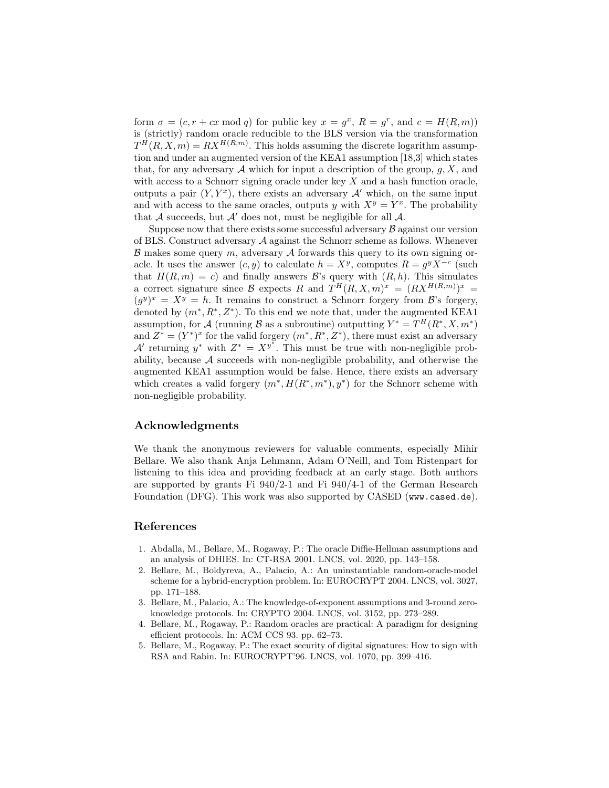form  $\sigma = (c, r + cx \mod q)$  for public key  $x = g^x$ ,  $R = g^r$ , and  $c = H(R,m)$ is (strictly) random oracle reducible to the BLS version via the transformation  $T^H(R, X, m) = RX^{H(R,m)}$ . This holds assuming the discrete logarithm assumption and under an augmented version of the KEA1 assumption [18,3] which states that, for any adversary  $A$  which for input a description of the group,  $g, X$ , and with access to a Schnorr signing oracle under key  $X$  and a hash function oracle, outputs a pair  $(Y, Y^x)$ , there exists an adversary  $\mathcal{A}'$  which, on the same input and with access to the same oracles, outputs y with  $X^y = Y^x$ . The probability that A succeeds, but  $\mathcal{A}'$  does not, must be negligible for all  $\mathcal{A}$ .

Suppose now that there exists some successful adversary  $\beta$  against our version of BLS. Construct adversary  $A$  against the Schnorr scheme as follows. Whenever  $\beta$  makes some query m, adversary  $\mathcal A$  forwards this query to its own signing oracle. It uses the answer  $(c, y)$  to calculate  $h = X^y$ , computes  $R = g^y X^{-c}$  (such that  $H(R, m) = c$ ) and finally answers  $\mathcal{B}'$ 's query with  $(R, h)$ . This simulates a correct signature since B expects R and  $T^H(R, X, m)^x = (RX^{H(R,m)})^x =$  $(g^y)^x = X^y = h$ . It remains to construct a Schnorr forgery from B's forgery, denoted by  $(m^*, R^*, Z^*)$ . To this end we note that, under the augmented KEA1 assumption, for A (running B as a subroutine) outputting  $Y^* = T^H(R^*, X, m^*)$ and  $Z^* = (Y^*)^x$  for the valid forgery  $(m^*, R^*, Z^*)$ , there must exist an adversary A' returning  $y^*$  with  $Z^* = X^{y^*}$ . This must be true with non-negligible probability, because A succeeds with non-negligible probability, and otherwise the augmented KEA1 assumption would be false. Hence, there exists an adversary which creates a valid forgery  $(m^*, H(R^*, m^*), y^*)$  for the Schnorr scheme with non-negligible probability.

#### Acknowledgments

We thank the anonymous reviewers for valuable comments, especially Mihir Bellare. We also thank Anja Lehmann, Adam O'Neill, and Tom Ristenpart for listening to this idea and providing feedback at an early stage. Both authors are supported by grants Fi 940/2-1 and Fi 940/4-1 of the German Research Foundation (DFG). This work was also supported by CASED (www.cased.de).

#### References

- 1. Abdalla, M., Bellare, M., Rogaway, P.: The oracle Diffie-Hellman assumptions and an analysis of DHIES. In: CT-RSA 2001. LNCS, vol. 2020, pp. 143–158.
- 2. Bellare, M., Boldyreva, A., Palacio, A.: An uninstantiable random-oracle-model scheme for a hybrid-encryption problem. In: EUROCRYPT 2004. LNCS, vol. 3027, pp. 171–188.
- 3. Bellare, M., Palacio, A.: The knowledge-of-exponent assumptions and 3-round zeroknowledge protocols. In: CRYPTO 2004. LNCS, vol. 3152, pp. 273–289.
- 4. Bellare, M., Rogaway, P.: Random oracles are practical: A paradigm for designing efficient protocols. In: ACM CCS 93. pp. 62–73.
- 5. Bellare, M., Rogaway, P.: The exact security of digital signatures: How to sign with RSA and Rabin. In: EUROCRYPT'96. LNCS, vol. 1070, pp. 399–416.